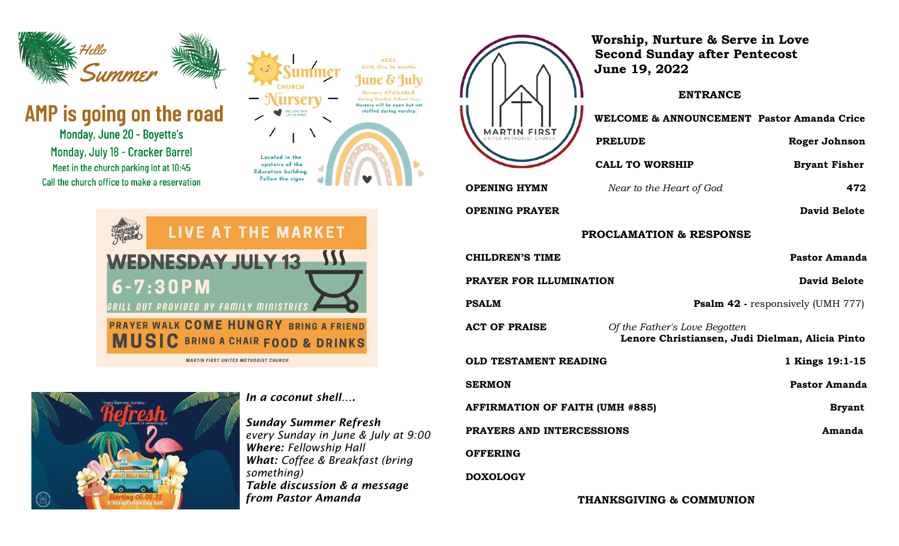

# AMP is going on the road

Monday, June 20 - Boyette's Monday, July 18 - Cracker Barrel Meet in the church parking lot at 10:45 Call the church office to make a reservation







## *In a coconut shell….*

*Sunday Summer Refresh every Sunday in June & July at 9:00 Where: Fellowship Hall What: Coffee & Breakfast (bring something) Table discussion & a message from Pastor Amanda* 

|                                        | Worship, Nurture & Serve in Love<br><b>Second Sunday after Pentecost</b><br><b>June 19, 2022</b><br><b>ENTRANCE</b> |                      |
|----------------------------------------|---------------------------------------------------------------------------------------------------------------------|----------------------|
|                                        | <b>WELCOME &amp; ANNOUNCEMENT Pastor Amanda Crice</b>                                                               |                      |
|                                        | <b>PRELUDE</b>                                                                                                      | Roger Johnson        |
|                                        | <b>CALL TO WORSHIP</b>                                                                                              | <b>Bryant Fisher</b> |
| <b>OPENING HYMN</b>                    | Near to the Heart of God                                                                                            | 472                  |
| <b>OPENING PRAYER</b>                  |                                                                                                                     | <b>David Belote</b>  |
| <b>PROCLAMATION &amp; RESPONSE</b>     |                                                                                                                     |                      |
| <b>CHILDREN'S TIME</b>                 |                                                                                                                     | <b>Pastor Amanda</b> |
| <b>PRAYER FOR ILLUMINATION</b>         |                                                                                                                     | <b>David Belote</b>  |
| <b>PSALM</b>                           | <b>Psalm 42</b> - responsively (UMH 777)                                                                            |                      |
| <b>ACT OF PRAISE</b>                   | Of the Father's Love Begotten<br>Lenore Christiansen, Judi Dielman, Alicia Pinto                                    |                      |
| <b>OLD TESTAMENT READING</b>           |                                                                                                                     | 1 Kings 19:1-15      |
| <b>SERMON</b>                          |                                                                                                                     | <b>Pastor Amanda</b> |
| <b>AFFIRMATION OF FAITH (UMH #885)</b> |                                                                                                                     | <b>Bryant</b>        |
| <b>PRAYERS AND INTERCESSIONS</b>       |                                                                                                                     | Amanda               |
| <b>OFFERING</b>                        |                                                                                                                     |                      |
| <b>DOXOLOGY</b>                        |                                                                                                                     |                      |

**THANKSGIVING & COMMUNION**